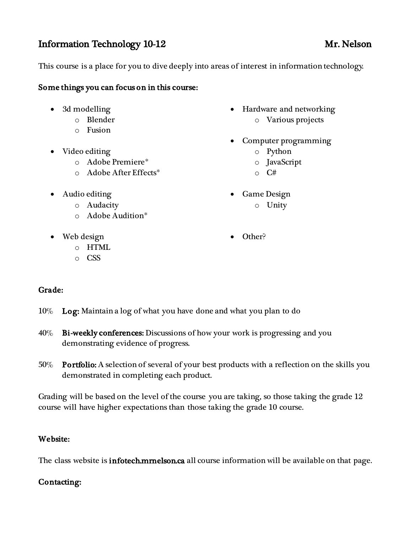# Information Technology 10-12 Mr. Nelson

This course is a place for you to dive deeply into areas of interest in information technology.

### Some things you can focus on in this course:

- 3d modelling
	- o Blender
	- o Fusion
- Video editing
	- o Adobe Premiere\*
	- o Adobe After Effects\*
- Audio editing
	- o Audacity
	- o Adobe Audition\*
- Web design
	- o HTML
	- o CSS
- Hardware and networking o Various projects
- Computer programming
	- o Python
	- o JavaScript
	- $\circ$  C#
- Game Design
	- o Unity
- Other?

## Grade:

- 10% Log: Maintain a log of what you have done and what you plan to do
- 40% Bi-weekly conferences: Discussions of how your work is progressing and you demonstrating evidence of progress.
- 50% Portfolio: A selection of several of your best products with a reflection on the skills you demonstrated in completing each product.

Grading will be based on the level of the course you are taking, so those taking the grade 12 course will have higher expectations than those taking the grade 10 course.

### Website:

The class website is **infotech.mrnelson.ca** all course information will be available on that page.

## Contacting: